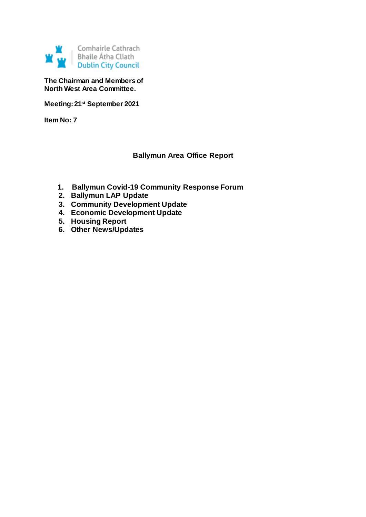

**The Chairman and Members of North West Area Committee.**

**Meeting: 21st September 2021**

**Item No: 7**

# **Ballymun Area Office Report**

- **1. Ballymun Covid-19 Community Response Forum**
- **2. Ballymun LAP Update**
- **3. Community Development Update**
- **4. Economic Development Update**
- **5. Housing Report**
- **6. Other News/Updates**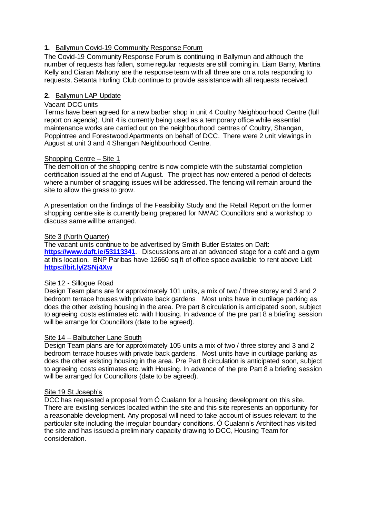# **1.** Ballymun Covid-19 Community Response Forum

The Covid-19 Community Response Forum is continuing in Ballymun and although the number of requests has fallen, some regular requests are still coming in. Liam Barry, Martina Kelly and Ciaran Mahony are the response team with all three are on a rota responding to requests. Setanta Hurling Club continue to provide assistance with all requests received.

# **2.** Ballymun LAP Update

# Vacant DCC units

Terms have been agreed for a new barber shop in unit 4 Coultry Neighbourhood Centre (full report on agenda). Unit 4 is currently being used as a temporary office while essential maintenance works are carried out on the neighbourhood centres of Coultry, Shangan, Poppintree and Forestwood Apartments on behalf of DCC. There were 2 unit viewings in August at unit 3 and 4 Shangan Neighbourhood Centre.

# Shopping Centre – Site 1

The demolition of the shopping centre is now complete with the substantial completion certification issued at the end of August. The project has now entered a period of defects where a number of snagging issues will be addressed. The fencing will remain around the site to allow the grass to grow.

A presentation on the findings of the Feasibility Study and the Retail Report on the former shopping centre site is currently being prepared for NWAC Councillors and a workshop to discuss same will be arranged.

## Site 3 (North Quarter)

The vacant units continue to be advertised by Smith Butler Estates on Daft: **<https://www.daft.ie/53113341>**. Discussions are at an advanced stage for a café and a gym at this location. BNP Paribas have 12660 sq ft of office space available to rent above Lidl: **<https://bit.ly/2SNj4Xw>**

## Site 12 - Sillogue Road

Design Team plans are for approximately 101 units, a mix of two / three storey and 3 and 2 bedroom terrace houses with private back gardens. Most units have in curtilage parking as does the other existing housing in the area. Pre part 8 circulation is anticipated soon, subject to agreeing costs estimates etc. with Housing. In advance of the pre part 8 a briefing session will be arrange for Councillors (date to be agreed).

## Site 14 – Balbutcher Lane South

Design Team plans are for approximately 105 units a mix of two / three storey and 3 and 2 bedroom terrace houses with private back gardens. Most units have in curtilage parking as does the other existing housing in the area. Pre Part 8 circulation is anticipated soon, subject to agreeing costs estimates etc. with Housing. In advance of the pre Part 8 a briefing session will be arranged for Councillors (date to be agreed).

## Site 19 St Joseph's

DCC has requested a proposal from Ó Cualann for a housing development on this site. There are existing services located within the site and this site represents an opportunity for a reasonable development. Any proposal will need to take account of issues relevant to the particular site including the irregular boundary conditions. Ó Cualann's Architect has visited the site and has issued a preliminary capacity drawing to DCC, Housing Team for consideration.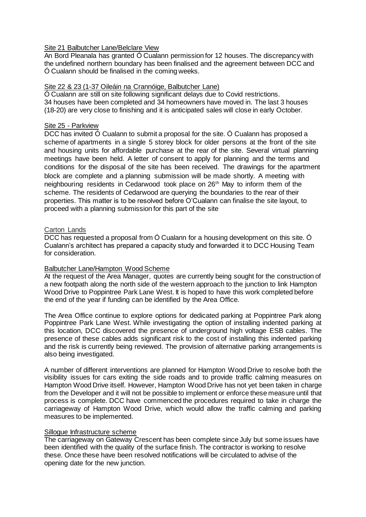## Site 21 Balbutcher Lane/Belclare View

An Bord Pleanala has granted Ó Cualann permission for 12 houses. The discrepancy with the undefined northern boundary has been finalised and the agreement between DCC and Ó Cualann should be finalised in the coming weeks.

## Site 22 & 23 (1-37 Oileáin na Crannóige, Balbutcher Lane)

Ó Cualann are still on site following significant delays due to Covid restrictions. 34 houses have been completed and 34 homeowners have moved in. The last 3 houses (18-20) are very close to finishing and it is anticipated sales will close in early October.

## Site 25 - Parkview

DCC has invited Ó Cualann to submit a proposal for the site. Ó Cualann has proposed a scheme of apartments in a single 5 storey block for older persons at the front of the site and housing units for affordable purchase at the rear of the site. Several virtual planning meetings have been held. A letter of consent to apply for planning and the terms and conditions for the disposal of the site has been received. The drawings for the apartment block are complete and a planning submission will be made shortly. A meeting with neighbouring residents in Cedarwood took place on 26<sup>th</sup> May to inform them of the scheme. The residents of Cedarwood are querying the boundaries to the rear of their properties. This matter is to be resolved before O'Cualann can finalise the site layout, to proceed with a planning submission for this part of the site

## Carton Lands

DCC has requested a proposal from Ó Cualann for a housing development on this site. Ó Cualann's architect has prepared a capacity study and forwarded it to DCC Housing Team for consideration.

## Balbutcher Lane/Hampton Wood Scheme

At the request of the Area Manager, quotes are currently being sought for the construction of a new footpath along the north side of the western approach to the junction to link Hampton Wood Drive to Poppintree Park Lane West. It is hoped to have this work completed before the end of the year if funding can be identified by the Area Office.

The Area Office continue to explore options for dedicated parking at Poppintree Park along Poppintree Park Lane West. While investigating the option of installing indented parking at this location, DCC discovered the presence of underground high voltage ESB cables. The presence of these cables adds significant risk to the cost of installing this indented parking and the risk is currently being reviewed. The provision of alternative parking arrangements is also being investigated.

A number of different interventions are planned for Hampton Wood Drive to resolve both the visibility issues for cars exiting the side roads and to provide traffic calming measures on Hampton Wood Drive itself. However, Hampton Wood Drive has not yet been taken in charge from the Developer and it will not be possible to implement or enforce these measure until that process is complete. DCC have commenced the procedures required to take in charge the carriageway of Hampton Wood Drive, which would allow the traffic calming and parking measures to be implemented.

#### Sillogue Infrastructure scheme

The carriageway on Gateway Crescent has been complete since July but some issues have been identified with the quality of the surface finish. The contractor is working to resolve these. Once these have been resolved notifications will be circulated to advise of the opening date for the new junction.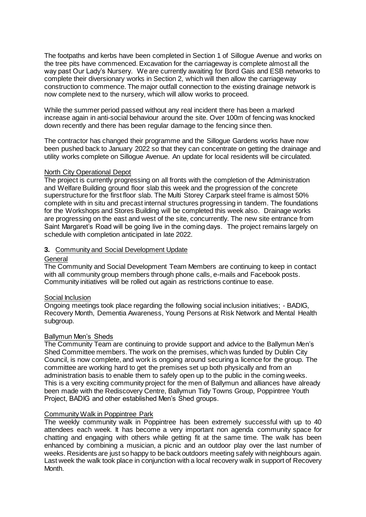The footpaths and kerbs have been completed in Section 1 of Sillogue Avenue and works on the tree pits have commenced. Excavation for the carriageway is complete almost all the way past Our Lady's Nursery. We are currently awaiting for Bord Gais and ESB networks to complete their diversionary works in Section 2, which will then allow the carriageway construction to commence. The major outfall connection to the existing drainage network is now complete next to the nursery, which will allow works to proceed.

While the summer period passed without any real incident there has been a marked increase again in anti-social behaviour around the site. Over 100m of fencing was knocked down recently and there has been regular damage to the fencing since then.

The contractor has changed their programme and the Sillogue Gardens works have now been pushed back to January 2022 so that they can concentrate on getting the drainage and utility works complete on Sillogue Avenue. An update for local residents will be circulated.

## North City Operational Depot

The project is currently progressing on all fronts with the completion of the Administration and Welfare Building ground floor slab this week and the progression of the concrete superstructure for the first floor slab. The Multi Storey Carpark steel frame is almost 50% complete with in situ and precast internal structures progressing in tandem. The foundations for the Workshops and Stores Building will be completed this week also. Drainage works are progressing on the east and west of the site, concurrently. The new site entrance from Saint Margaret's Road will be going live in the coming days. The project remains largely on schedule with completion anticipated in late 2022.

## **3.** Community and Social Development Update

#### **General**

The Community and Social Development Team Members are continuing to keep in contact with all community group members through phone calls, e-mails and Facebook posts. Community initiatives will be rolled out again as restrictions continue to ease.

#### Social Inclusion

Ongoing meetings took place regarding the following social inclusion initiatives; - BADIG, Recovery Month, Dementia Awareness, Young Persons at Risk Network and Mental Health subgroup.

#### Ballymun Men's Sheds

The Community Team are continuing to provide support and advice to the Ballymun Men's Shed Committee members. The work on the premises, which was funded by Dublin City Council, is now complete, and work is ongoing around securing a licence for the group. The committee are working hard to get the premises set up both physically and from an administration basis to enable them to safely open up to the public in the coming weeks. This is a very exciting community project for the men of Ballymun and alliances have already been made with the Rediscovery Centre, Ballymun Tidy Towns Group, Poppintree Youth Project, BADIG and other established Men's Shed groups.

#### Community Walk in Poppintree Park

The weekly community walk in Poppintree has been extremely successful with up to 40 attendees each week. It has become a very important non agenda community space for chatting and engaging with others while getting fit at the same time. The walk has been enhanced by combining a musician, a picnic and an outdoor play over the last number of weeks. Residents are just so happy to be back outdoors meeting safely with neighbours again. Last week the walk took place in conjunction with a local recovery walk in support of Recovery Month.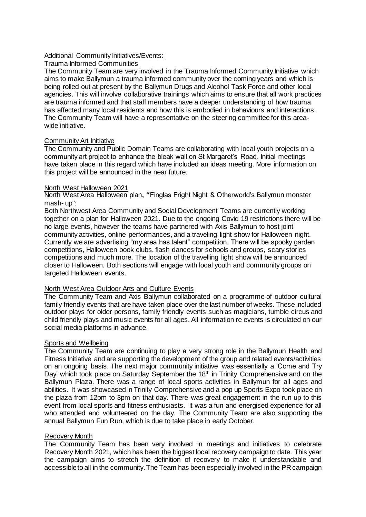## Additional Community Initiatives/Events:

# Trauma Informed Communities

The Community Team are very involved in the Trauma Informed Community Initiative which aims to make Ballymun a trauma informed community over the coming years and which is being rolled out at present by the Ballymun Drugs and Alcohol Task Force and other local agencies. This will involve collaborative trainings which aims to ensure that all work practices are trauma informed and that staff members have a deeper understanding of how trauma has affected many local residents and how this is embodied in behaviours and interactions. The Community Team will have a representative on the steering committee for this areawide initiative.

## Community Art Initiative

The Community and Public Domain Teams are collaborating with local youth projects on a community art project to enhance the bleak wall on St Margaret's Road. Initial meetings have taken place in this regard which have included an ideas meeting. More information on this project will be announced in the near future.

#### North West Halloween 2021

North West Area Halloween plan**, "**Finglas Fright Night & Otherworld's Ballymun monster mash- up":

Both Northwest Area Community and Social Development Teams are currently working together on a plan for Halloween 2021. Due to the ongoing Covid 19 restrictions there will be no large events, however the teams have partnered with Axis Ballymun to host joint community activities, online performances, and a traveling light show for Halloween night. Currently we are advertising "my area has talent" competition. There will be spooky garden competitions, Halloween book clubs, flash dances for schools and groups, scary stories competitions and much more. The location of the travelling light show will be announced closer to Halloween. Both sections will engage with local youth and community groups on targeted Halloween events.

#### North West Area Outdoor Arts and Culture Events

The Community Team and Axis Ballymun collaborated on a programme of outdoor cultural family friendly events that are have taken place over the last number of weeks. These included outdoor plays for older persons, family friendly events such as magicians, tumble circus and child friendly plays and music events for all ages. All information re events is circulated on our social media platforms in advance.

#### Sports and Wellbeing

The Community Team are continuing to play a very strong role in the Ballymun Health and Fitness Initiative and are supporting the development of the group and related events/activities on an ongoing basis. The next major community initiative was essentially a 'Come and Try Day' which took place on Saturday September the 18<sup>th</sup> in Trinity Comprehensive and on the Ballymun Plaza. There was a range of local sports activities in Ballymun for all ages and abilities. It was showcased in Trinity Comprehensive and a pop up Sports Expo took place on the plaza from 12pm to 3pm on that day. There was great engagement in the run up to this event from local sports and fitness enthusiasts. It was a fun and energised experience for all who attended and volunteered on the day. The Community Team are also supporting the annual Ballymun Fun Run, which is due to take place in early October.

#### Recovery Month

The Community Team has been very involved in meetings and initiatives to celebrate Recovery Month 2021, which has been the biggest local recovery campaign to date. This year the campaign aims to stretch the definition of recovery to make it understandable and accessible to all in the community. The Team has been especially involved in the PR campaign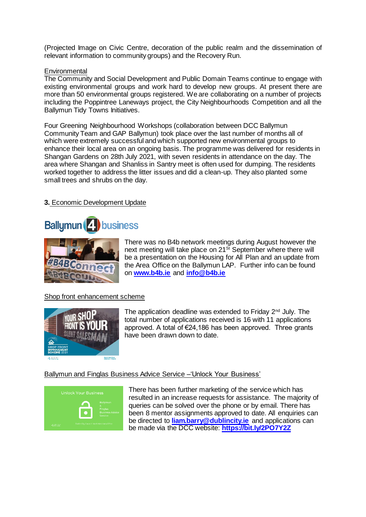(Projected Image on Civic Centre, decoration of the public realm and the dissemination of relevant information to community groups) and the Recovery Run.

#### **Environmental**

The Community and Social Development and Public Domain Teams continue to engage with existing environmental groups and work hard to develop new groups. At present there are more than 50 environmental groups registered. We are collaborating on a number of projects including the Poppintree Laneways project, the City Neighbourhoods Competition and all the Ballymun Tidy Towns Initiatives.

Four Greening Neighbourhood Workshops (collaboration between DCC Ballymun Community Team and GAP Ballymun) took place over the last number of months all of which were extremely successful and which supported new environmental groups to enhance their local area on an ongoing basis. The programme was delivered for residents in Shangan Gardens on 28th July 2021, with seven residents in attendance on the day. The area where Shangan and Shanliss in Santry meet is often used for dumping. The residents worked together to address the litter issues and did a clean-up. They also planted some small trees and shrubs on the day.

# **3.** Economic Development Update





There was no B4b network meetings during August however the next meeting will take place on 21<sup>St</sup> September where there will be a presentation on the Housing for All Plan and an update from the Area Office on the Ballymun LAP. Further info can be found on **[www.b4b.ie](http://www.b4b.ie/)** and **[info@b4b.ie](mailto:info@b4b.ie)**

## Shop front enhancement scheme



The application deadline was extended to Friday  $2<sup>nd</sup>$  July. The total number of applications received is 16 with 11 applications approved. A total of €24,186 has been approved. Three grants have been drawn down to date.

#### Ballymun and Finglas Business Advice Service –'Unlock Your Business'



There has been further marketing of the service which has resulted in an increase requests for assistance. The majority of queries can be solved over the phone or by email. There has been 8 mentor assignments approved to date. All enquiries can be directed to **[liam.barry@dublincity.ie](mailto:liam.barry@dublincity.ie)** and applications can be made via the DCC website: **<https://bit.ly/2PO7Y2Z>**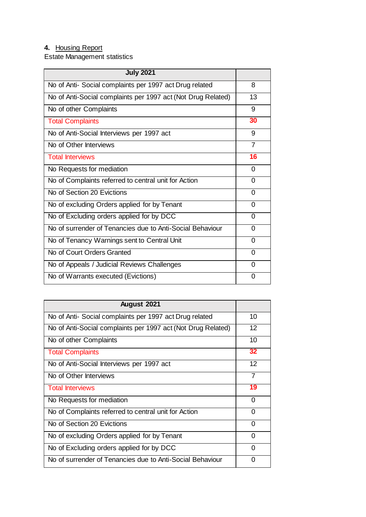# **4.** Housing Report

Estate Management statistics

| <b>July 2021</b>                                             |                |
|--------------------------------------------------------------|----------------|
| No of Anti- Social complaints per 1997 act Drug related      | 8              |
| No of Anti-Social complaints per 1997 act (Not Drug Related) | 13             |
| No of other Complaints                                       | 9              |
| <b>Total Complaints</b>                                      | 30             |
| No of Anti-Social Interviews per 1997 act                    | 9              |
| No of Other Interviews                                       | $\overline{7}$ |
| <b>Total Interviews</b>                                      | 16             |
| No Requests for mediation                                    | $\Omega$       |
| No of Complaints referred to central unit for Action         | 0              |
| No of Section 20 Evictions                                   | 0              |
| No of excluding Orders applied for by Tenant                 | 0              |
| No of Excluding orders applied for by DCC                    | 0              |
| No of surrender of Tenancies due to Anti-Social Behaviour    | 0              |
| No of Tenancy Warnings sent to Central Unit                  | 0              |
| No of Court Orders Granted                                   | $\Omega$       |
| No of Appeals / Judicial Reviews Challenges                  | $\Omega$       |
| No of Warrants executed (Evictions)                          | $\Omega$       |

| August 2021                                                  |          |
|--------------------------------------------------------------|----------|
| No of Anti- Social complaints per 1997 act Drug related      | 10       |
| No of Anti-Social complaints per 1997 act (Not Drug Related) | 12       |
| No of other Complaints                                       | 10       |
| <b>Total Complaints</b>                                      | 32       |
| No of Anti-Social Interviews per 1997 act                    | 12       |
| No of Other Interviews                                       | 7        |
| <b>Total Interviews</b>                                      | 19       |
| No Requests for mediation                                    | 0        |
| No of Complaints referred to central unit for Action         | $\Omega$ |
| No of Section 20 Evictions                                   | 0        |
|                                                              |          |
| No of excluding Orders applied for by Tenant                 | 0        |
| No of Excluding orders applied for by DCC                    | 0        |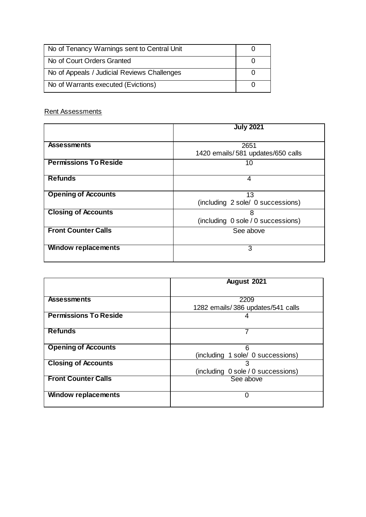| No of Tenancy Warnings sent to Central Unit |  |
|---------------------------------------------|--|
| No of Court Orders Granted                  |  |
| No of Appeals / Judicial Reviews Challenges |  |
| No of Warrants executed (Evictions)         |  |

# Rent Assessments

|                              | <b>July 2021</b>                   |  |  |
|------------------------------|------------------------------------|--|--|
|                              |                                    |  |  |
| <b>Assessments</b>           | 2651                               |  |  |
|                              | 1420 emails/581 updates/650 calls  |  |  |
| <b>Permissions To Reside</b> | 10                                 |  |  |
|                              |                                    |  |  |
| <b>Refunds</b>               | 4                                  |  |  |
|                              |                                    |  |  |
| <b>Opening of Accounts</b>   | 13                                 |  |  |
|                              | (including 2 sole/ 0 successions)  |  |  |
| <b>Closing of Accounts</b>   | 8                                  |  |  |
|                              | (including 0 sole / 0 successions) |  |  |
| <b>Front Counter Calls</b>   | See above                          |  |  |
|                              |                                    |  |  |
| <b>Window replacements</b>   | 3                                  |  |  |
|                              |                                    |  |  |

|                              | August 2021                        |  |  |
|------------------------------|------------------------------------|--|--|
|                              |                                    |  |  |
| <b>Assessments</b>           | 2209                               |  |  |
|                              | 1282 emails/386 updates/541 calls  |  |  |
| <b>Permissions To Reside</b> | 4                                  |  |  |
|                              |                                    |  |  |
| <b>Refunds</b>               | 7                                  |  |  |
|                              |                                    |  |  |
| <b>Opening of Accounts</b>   | 6                                  |  |  |
|                              | (including 1 sole/ 0 successions)  |  |  |
| <b>Closing of Accounts</b>   | 3                                  |  |  |
|                              | (including 0 sole / 0 successions) |  |  |
| <b>Front Counter Calls</b>   | See above                          |  |  |
|                              |                                    |  |  |
| <b>Window replacements</b>   | 0                                  |  |  |
|                              |                                    |  |  |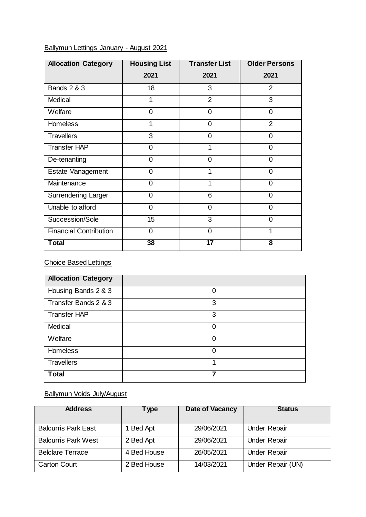# Ballymun Lettings January - August 2021

| <b>Allocation Category</b>    | <b>Housing List</b> | <b>Transfer List</b> | <b>Older Persons</b> |
|-------------------------------|---------------------|----------------------|----------------------|
|                               | 2021                | 2021                 | 2021                 |
| <b>Bands 2 &amp; 3</b>        | 18                  | 3                    | $\overline{2}$       |
| Medical                       | 1                   | 2                    | 3                    |
| Welfare                       | $\Omega$            | $\overline{0}$       | $\Omega$             |
| <b>Homeless</b>               |                     | 0                    | $\overline{2}$       |
| <b>Travellers</b>             | 3                   | $\overline{0}$       | $\Omega$             |
| <b>Transfer HAP</b>           | $\Omega$            | 1                    | 0                    |
| De-tenanting                  | $\Omega$            | 0                    | 0                    |
| <b>Estate Management</b>      | $\Omega$            | 1                    | 0                    |
| Maintenance                   | $\Omega$            | 1                    | 0                    |
| <b>Surrendering Larger</b>    | $\Omega$            | 6                    | 0                    |
| Unable to afford              | $\overline{0}$      | $\overline{0}$       | 0                    |
| Succession/Sole               | 15                  | 3                    | 0                    |
| <b>Financial Contribution</b> | $\Omega$            | $\overline{0}$       | 1                    |
| <b>Total</b>                  | 38                  | 17                   | 8                    |

Choice Based Lettings

| <b>Allocation Category</b> |   |
|----------------------------|---|
| Housing Bands 2 & 3        | 0 |
| Transfer Bands 2 & 3       | 3 |
| <b>Transfer HAP</b>        | 3 |
| Medical                    | 0 |
| Welfare                    | 0 |
| <b>Homeless</b>            | 0 |
| <b>Travellers</b>          | 1 |
| <b>Total</b>               | 7 |

# Ballymun Voids July/August

| <b>Address</b>             | Type        | Date of Vacancy | <b>Status</b>       |
|----------------------------|-------------|-----------------|---------------------|
| <b>Balcurris Park East</b> | 1 Bed Apt   | 29/06/2021      | <b>Under Repair</b> |
| <b>Balcurris Park West</b> | 2 Bed Apt   | 29/06/2021      | <b>Under Repair</b> |
| <b>Belclare Terrace</b>    | 4 Bed House | 26/05/2021      | <b>Under Repair</b> |
| <b>Carton Court</b>        | 2 Bed House | 14/03/2021      | Under Repair (UN)   |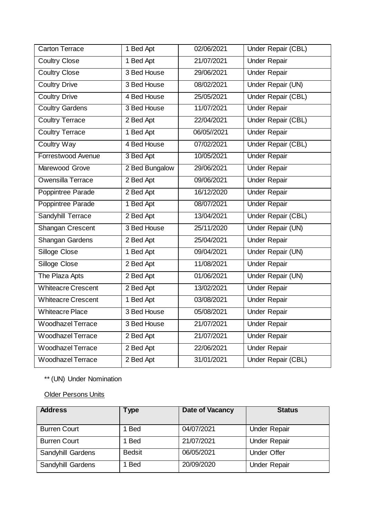| <b>Carton Terrace</b>     | 1 Bed Apt      | 02/06/2021  | Under Repair (CBL)        |
|---------------------------|----------------|-------------|---------------------------|
| <b>Coultry Close</b>      | 1 Bed Apt      | 21/07/2021  | <b>Under Repair</b>       |
| <b>Coultry Close</b>      | 3 Bed House    | 29/06/2021  | <b>Under Repair</b>       |
| <b>Coultry Drive</b>      | 3 Bed House    | 08/02/2021  | Under Repair (UN)         |
| <b>Coultry Drive</b>      | 4 Bed House    | 25/05/2021  | Under Repair (CBL)        |
| <b>Coultry Gardens</b>    | 3 Bed House    | 11/07/2021  | <b>Under Repair</b>       |
| <b>Coultry Terrace</b>    | 2 Bed Apt      | 22/04/2021  | <b>Under Repair (CBL)</b> |
| <b>Coultry Terrace</b>    | 1 Bed Apt      | 06/05//2021 | <b>Under Repair</b>       |
| Coultry Way               | 4 Bed House    | 07/02/2021  | <b>Under Repair (CBL)</b> |
| Forrestwood Avenue        | 3 Bed Apt      | 10/05/2021  | <b>Under Repair</b>       |
| Marewood Grove            | 2 Bed Bungalow | 29/06/2021  | <b>Under Repair</b>       |
| Owensilla Terrace         | 2 Bed Apt      | 09/06/2021  | <b>Under Repair</b>       |
| Poppintree Parade         | 2 Bed Apt      | 16/12/2020  | <b>Under Repair</b>       |
| Poppintree Parade         | 1 Bed Apt      | 08/07/2021  | <b>Under Repair</b>       |
| <b>Sandyhill Terrace</b>  | 2 Bed Apt      | 13/04/2021  | <b>Under Repair (CBL)</b> |
| Shangan Crescent          | 3 Bed House    | 25/11/2020  | Under Repair (UN)         |
| Shangan Gardens           | 2 Bed Apt      | 25/04/2021  | <b>Under Repair</b>       |
| Silloge Close             | 1 Bed Apt      | 09/04/2021  | Under Repair (UN)         |
| Silloge Close             | 2 Bed Apt      | 11/08/2021  | <b>Under Repair</b>       |
| The Plaza Apts            | 2 Bed Apt      | 01/06/2021  | Under Repair (UN)         |
| <b>Whiteacre Crescent</b> | 2 Bed Apt      | 13/02/2021  | <b>Under Repair</b>       |
| <b>Whiteacre Crescent</b> | 1 Bed Apt      | 03/08/2021  | <b>Under Repair</b>       |
| <b>Whiteacre Place</b>    | 3 Bed House    | 05/08/2021  | <b>Under Repair</b>       |
| <b>Woodhazel Terrace</b>  | 3 Bed House    | 21/07/2021  | <b>Under Repair</b>       |
| <b>Woodhazel Terrace</b>  | 2 Bed Apt      | 21/07/2021  | <b>Under Repair</b>       |
| <b>Woodhazel Terrace</b>  | 2 Bed Apt      | 22/06/2021  | <b>Under Repair</b>       |
| Woodhazel Terrace         | 2 Bed Apt      | 31/01/2021  | Under Repair (CBL)        |

\*\* (UN) Under Nomination

Older Persons Units

| <b>Address</b>      | <b>Type</b>   | <b>Date of Vacancy</b> | <b>Status</b>       |
|---------------------|---------------|------------------------|---------------------|
|                     |               |                        |                     |
| <b>Burren Court</b> | 1 Bed         | 04/07/2021             | <b>Under Repair</b> |
| <b>Burren Court</b> | 1 Bed         | 21/07/2021             | <b>Under Repair</b> |
| Sandyhill Gardens   | <b>Bedsit</b> | 06/05/2021             | <b>Under Offer</b>  |
| Sandyhill Gardens   | 1 Bed         | 20/09/2020             | <b>Under Repair</b> |